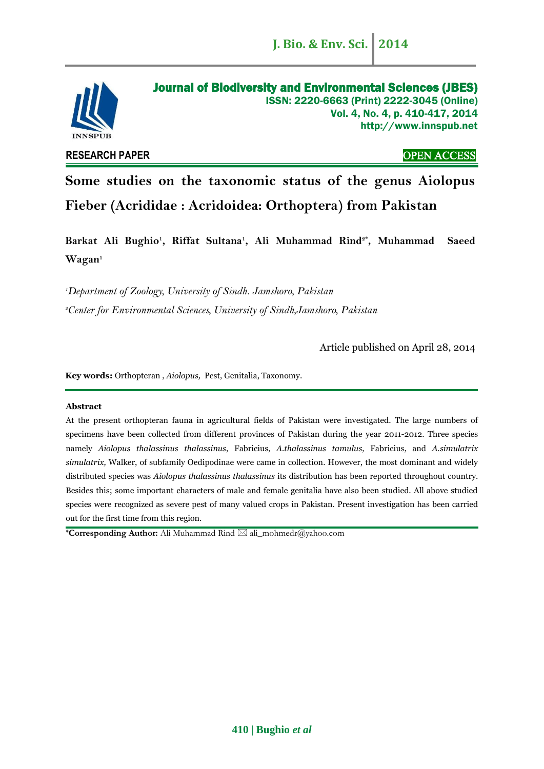

# **RESEARCH PAPER** OPEN ACCESS

# **Some studies on the taxonomic status of the genus Aiolopus Fieber (Acrididae : Acridoidea: Orthoptera) from Pakistan**

**Barkat Ali Bughio<sup>1</sup> , Riffat Sultana<sup>1</sup> , Ali Muhammad Rind2\* , Muhammad Saeed Wagan<sup>1</sup>**

*<sup>1</sup>Department of Zoology, University of Sindh. Jamshoro, Pakistan <sup>2</sup>Center for Environmental Sciences, University of Sindh,Jamshoro, Pakistan*

Article published on April 28, 2014

**Key words:** Orthopteran , *Aiolopus,* Pest, Genitalia, Taxonomy.

#### **Abstract**

At the present orthopteran fauna in agricultural fields of Pakistan were investigated. The large numbers of specimens have been collected from different provinces of Pakistan during the year 2011-2012. Three species namely *Aiolopus thalassinus thalassinus*, Fabricius, *A.thalassinus tamulus,* Fabricius, and *A.simulatrix simulatrix,* Walker, of subfamily Oedipodinae were came in collection. However, the most dominant and widely distributed species was *Aiolopus thalassinus thalassinus* its distribution has been reported throughout country. Besides this; some important characters of male and female genitalia have also been studied. All above studied species were recognized as severe pest of many valued crops in Pakistan. Present investigation has been carried out for the first time from this region.

<sup>★</sup>**Corresponding Author:** Ali Muhammad Rind  $\boxtimes$  ali\_mohmedr@yahoo.com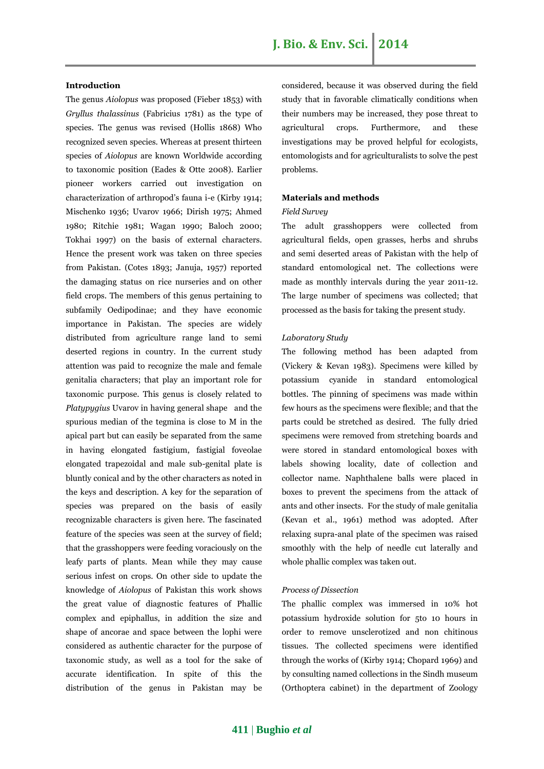#### **Introduction**

The genus *Aiolopus* was proposed (Fieber 1853) with *Gryllus thalassinus* (Fabricius 1781) as the type of species. The genus was revised (Hollis 1868) Who recognized seven species. Whereas at present thirteen species of *Aiolopus* are known Worldwide according to taxonomic position (Eades & Otte 2008). Earlier pioneer workers carried out investigation on characterization of arthropod's fauna i-e (Kirby 1914; Mischenko 1936; Uvarov 1966; Dirish 1975; Ahmed 1980; Ritchie 1981; Wagan 1990; Baloch 2000; Tokhai 1997) on the basis of external characters. Hence the present work was taken on three species from Pakistan. (Cotes 1893; Januja, 1957) reported the damaging status on rice nurseries and on other field crops. The members of this genus pertaining to subfamily Oedipodinae; and they have economic importance in Pakistan. The species are widely distributed from agriculture range land to semi deserted regions in country. In the current study attention was paid to recognize the male and female genitalia characters; that play an important role for taxonomic purpose. This genus is closely related to *Platypygius* Uvarov in having general shape and the spurious median of the tegmina is close to M in the apical part but can easily be separated from the same in having elongated fastigium, fastigial foveolae elongated trapezoidal and male sub-genital plate is bluntly conical and by the other characters as noted in the keys and description. A key for the separation of species was prepared on the basis of easily recognizable characters is given here. The fascinated feature of the species was seen at the survey of field; that the grasshoppers were feeding voraciously on the leafy parts of plants. Mean while they may cause serious infest on crops. On other side to update the knowledge of *Aiolopus* of Pakistan this work shows the great value of diagnostic features of Phallic complex and epiphallus, in addition the size and shape of ancorae and space between the lophi were considered as authentic character for the purpose of taxonomic study, as well as a tool for the sake of accurate identification. In spite of this the distribution of the genus in Pakistan may be

considered, because it was observed during the field study that in favorable climatically conditions when their numbers may be increased, they pose threat to agricultural crops. Furthermore, and these investigations may be proved helpful for ecologists, entomologists and for agriculturalists to solve the pest problems.

#### **Materials and methods**

#### *Field Survey*

The adult grasshoppers were collected from agricultural fields, open grasses, herbs and shrubs and semi deserted areas of Pakistan with the help of standard entomological net. The collections were made as monthly intervals during the year 2011-12. The large number of specimens was collected; that processed as the basis for taking the present study.

#### *Laboratory Study*

The following method has been adapted from (Vickery & Kevan 1983). Specimens were killed by potassium cyanide in standard entomological bottles. The pinning of specimens was made within few hours as the specimens were flexible; and that the parts could be stretched as desired. The fully dried specimens were removed from stretching boards and were stored in standard entomological boxes with labels showing locality, date of collection and collector name. Naphthalene balls were placed in boxes to prevent the specimens from the attack of ants and other insects. For the study of male genitalia (Kevan et al., 1961) method was adopted. After relaxing supra-anal plate of the specimen was raised smoothly with the help of needle cut laterally and whole phallic complex was taken out.

#### *Process of Dissection*

The phallic complex was immersed in 10% hot potassium hydroxide solution for 5to 10 hours in order to remove unsclerotized and non chitinous tissues. The collected specimens were identified through the works of (Kirby 1914; Chopard 1969) and by consulting named collections in the Sindh museum (Orthoptera cabinet) in the department of Zoology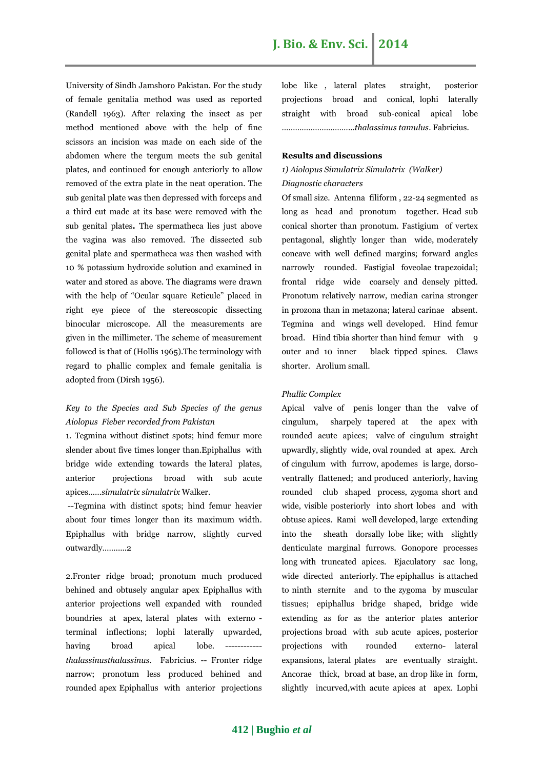University of Sindh Jamshoro Pakistan. For the study of female genitalia method was used as reported (Randell 1963). After relaxing the insect as per method mentioned above with the help of fine scissors an incision was made on each side of the abdomen where the tergum meets the sub genital plates, and continued for enough anteriorly to allow removed of the extra plate in the neat operation. The sub genital plate was then depressed with forceps and a third cut made at its base were removed with the sub genital plates**.** The spermatheca lies just above the vagina was also removed. The dissected sub genital plate and spermatheca was then washed with 10 % potassium hydroxide solution and examined in water and stored as above. The diagrams were drawn with the help of "Ocular square Reticule" placed in right eye piece of the stereoscopic dissecting binocular microscope. All the measurements are given in the millimeter. The scheme of measurement followed is that of (Hollis 1965).The terminology with regard to phallic complex and female genitalia is adopted from (Dirsh 1956).

# *Key to the Species and Sub Species of the genus Aiolopus Fieber recorded from Pakistan*

1. Tegmina without distinct spots; hind femur more slender about five times longer than.Epiphallus with bridge wide extending towards the lateral plates, anterior projections broad with sub acute apices……*simulatrix simulatrix* Walker.

--Tegmina with distinct spots; hind femur heavier about four times longer than its maximum width. Epiphallus with bridge narrow, slightly curved outwardly…….....2

2.Fronter ridge broad; pronotum much produced behined and obtusely angular apex Epiphallus with anterior projections well expanded with rounded boundries at apex, lateral plates with externo terminal inflections; lophi laterally upwarded, having broad apical lobe. *thalassinusthalassinus*. Fabricius. -- Fronter ridge narrow; pronotum less produced behined and rounded apex Epiphallus with anterior projections lobe like , lateral plates straight, posterior projections broad and conical, lophi laterally straight with broad sub-conical apical lobe …………………………...*thalassinus tamulus*. Fabricius.

# **Results and discussions**

# *1) Aiolopus Simulatrix Simulatrix (Walker) Diagnostic characters*

Of small size. Antenna filiform , 22-24 segmented as long as head and pronotum together. Head sub conical shorter than pronotum. Fastigium of vertex pentagonal, slightly longer than wide, moderately concave with well defined margins; forward angles narrowly rounded. Fastigial foveolae trapezoidal; frontal ridge wide coarsely and densely pitted. Pronotum relatively narrow, median carina stronger in prozona than in metazona; lateral carinae absent. Tegmina and wings well developed. Hind femur broad. Hind tibia shorter than hind femur with 9 outer and 10 inner black tipped spines. Claws shorter. Arolium small.

#### *Phallic Complex*

Apical valve of penis longer than the valve of cingulum, sharpely tapered at the apex with rounded acute apices; valve of cingulum straight upwardly, slightly wide, oval rounded at apex. Arch of cingulum with furrow, apodemes is large, dorsoventrally flattened; and produced anteriorly, having rounded club shaped process, zygoma short and wide, visible posteriorly into short lobes and with obtuse apices. Rami well developed, large extending into the sheath dorsally lobe like; with slightly denticulate marginal furrows. Gonopore processes long with truncated apices. Ejaculatory sac long, wide directed anteriorly. The epiphallus is attached to ninth sternite and to the zygoma by muscular tissues; epiphallus bridge shaped, bridge wide extending as for as the anterior plates anterior projections broad with sub acute apices, posterior projections with rounded externo- lateral expansions, lateral plates are eventually straight. Ancorae thick, broad at base, an drop like in form, slightly incurved,with acute apices at apex. Lophi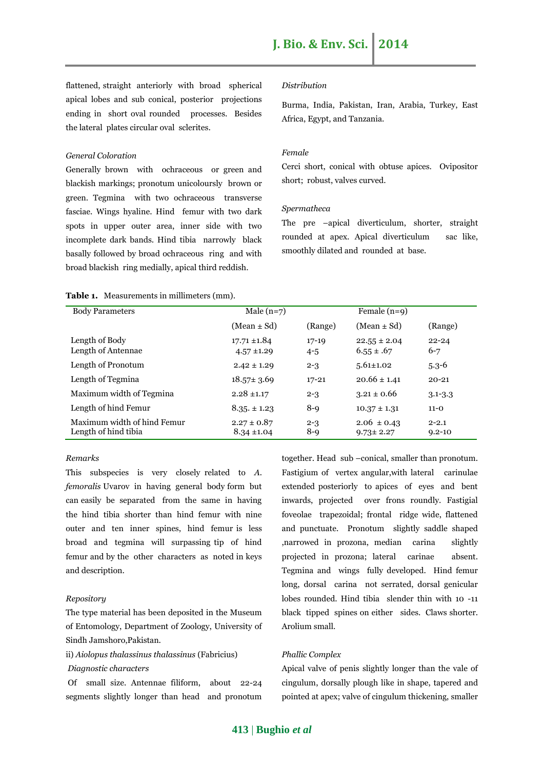flattened, straight anteriorly with broad spherical apical lobes and sub conical, posterior projections ending in short oval rounded processes. Besides the lateral plates circular oval sclerites.

#### *General Coloration*

Generally brown with ochraceous or green and blackish markings; pronotum unicoloursly brown or green. Tegmina with two ochraceous transverse fasciae. Wings hyaline. Hind femur with two dark spots in upper outer area, inner side with two incomplete dark bands. Hind tibia narrowly black basally followed by broad ochraceous ring and with broad blackish ring medially, apical third reddish.

#### *Distribution*

Burma, India, Pakistan, Iran, Arabia, Turkey, East Africa, Egypt, and Tanzania.

#### *Female*

Cerci short, conical with obtuse apices. Ovipositor short; robust, valves curved.

#### *Spermatheca*

The pre –apical diverticulum, shorter, straight rounded at apex. Apical diverticulum sac like, smoothly dilated and rounded at base.

#### **Table 1.** Measurements in millimeters (mm).

| <b>Body Parameters</b>                              | Male $(n=7)$                        |                      | Female $(n=9)$                     |                         |
|-----------------------------------------------------|-------------------------------------|----------------------|------------------------------------|-------------------------|
|                                                     | $(Mean \pm Sd)$                     | (Range)              | $(Mean \pm Sd)$                    | (Range)                 |
| Length of Body<br>Length of Antennae                | $17.71 \pm 1.84$<br>$4.57 \pm 1.29$ | $17 - 19$<br>$4 - 5$ | $22.55 \pm 2.04$<br>$6.55 \pm .67$ | $22 - 24$<br>$6 - 7$    |
| Length of Pronotum                                  | $2.42 \pm 1.29$                     | $2 - 3$              | $5.61 \pm 1.02$                    | $5.3 - 6$               |
| Length of Tegmina                                   | $18.57 \pm 3.69$                    | $17 - 21$            | $20.66 \pm 1.41$                   | $20 - 21$               |
| Maximum width of Tegmina                            | $2.28 \pm 1.17$                     | $2 - 3$              | $3.21 \pm 0.66$                    | $3.1 - 3.3$             |
| Length of hind Femur                                | $8.35 \pm 1.23$                     | $8-9$                | $10.37 \pm 1.31$                   | $11 - 0$                |
| Maximum width of hind Femur<br>Length of hind tibia | $2.27 \pm 0.87$<br>$8.34 \pm 1.04$  | $2 - 3$<br>$8-9$     | $2.06 \pm 0.43$<br>$9.73 \pm 2.27$ | $2 - 2.1$<br>$9.2 - 10$ |

#### *Remarks*

This subspecies is very closely related to *A. femoralis* Uvarov in having general body form but can easily be separated from the same in having the hind tibia shorter than hind femur with nine outer and ten inner spines, hind femur is less broad and tegmina will surpassing tip of hind femur and by the other characters as noted in keys and description.

#### *Repository*

The type material has been deposited in the Museum of Entomology, Department of Zoology, University of Sindh Jamshoro,Pakistan.

ii) *Aiolopus thalassinus thalassinus* (Fabricius)

#### *Diagnostic characters*

Of small size. Antennae filiform, about 22-24 segments slightly longer than head and pronotum together. Head sub –conical, smaller than pronotum. Fastigium of vertex angular,with lateral carinulae extended posteriorly to apices of eyes and bent inwards, projected over frons roundly. Fastigial foveolae trapezoidal; frontal ridge wide, flattened and punctuate. Pronotum slightly saddle shaped ,narrowed in prozona, median carina slightly projected in prozona; lateral carinae absent. Tegmina and wings fully developed. Hind femur long, dorsal carina not serrated, dorsal genicular lobes rounded. Hind tibia slender thin with 10 -11 black tipped spines on either sides. Claws shorter. Arolium small.

#### *Phallic Complex*

Apical valve of penis slightly longer than the vale of cingulum, dorsally plough like in shape, tapered and pointed at apex; valve of cingulum thickening, smaller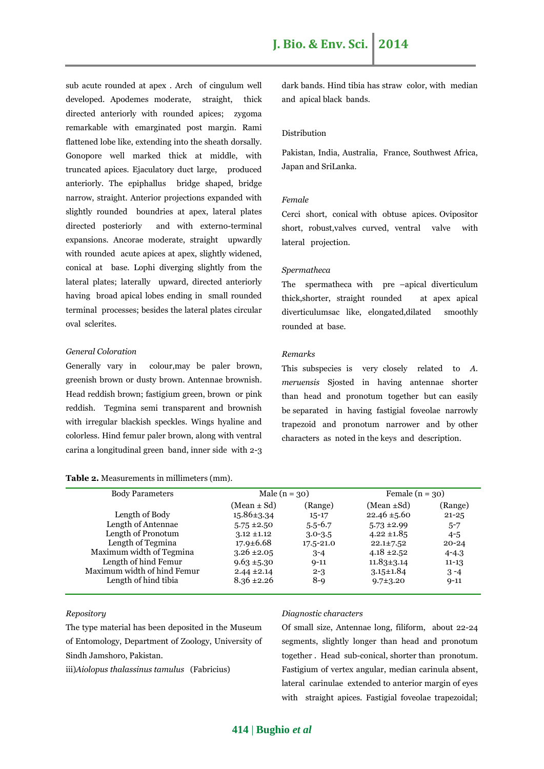sub acute rounded at apex . Arch of cingulum well developed. Apodemes moderate, straight, thick directed anteriorly with rounded apices; zygoma remarkable with emarginated post margin. Rami flattened lobe like, extending into the sheath dorsally. Gonopore well marked thick at middle, with truncated apices. Ejaculatory duct large, produced anteriorly. The epiphallus bridge shaped, bridge narrow, straight. Anterior projections expanded with slightly rounded boundries at apex, lateral plates directed posteriorly and with externo-terminal expansions. Ancorae moderate, straight upwardly with rounded acute apices at apex, slightly widened, conical at base. Lophi diverging slightly from the lateral plates; laterally upward, directed anteriorly having broad apical lobes ending in small rounded terminal processes; besides the lateral plates circular oval sclerites.

#### *General Coloration*

Generally vary in colour,may be paler brown, greenish brown or dusty brown. Antennae brownish. Head reddish brown; fastigium green, brown or pink reddish. Tegmina semi transparent and brownish with irregular blackish speckles. Wings hyaline and colorless. Hind femur paler brown, along with ventral carina a longitudinal green band, inner side with 2-3

|  | Table 2. Measurements in millimeters (mm). |  |  |
|--|--------------------------------------------|--|--|
|  |                                            |  |  |

dark bands. Hind tibia has straw color, with median and apical black bands.

#### Distribution

Pakistan, India, Australia, France, Southwest Africa, Japan and SriLanka.

#### *Female*

Cerci short, conical with obtuse apices. Ovipositor short, robust,valves curved, ventral valve with lateral projection.

#### *Spermatheca*

The spermatheca with pre –apical diverticulum thick,shorter, straight rounded at apex apical diverticulumsac like, elongated,dilated smoothly rounded at base.

#### *Remarks*

This subspecies is very closely related to *A. meruensis* Sjosted in having antennae shorter than head and pronotum together but can easily be separated in having fastigial foveolae narrowly trapezoid and pronotum narrower and by other characters as noted in the keys and description.

| <b>Body Parameters</b>      | Male $(n = 30)$  |               | Female $(n = 30)$ |           |
|-----------------------------|------------------|---------------|-------------------|-----------|
|                             | $(Mean \pm Sd)$  | (Range)       | (Mean $\pm Sd$ )  | (Range)   |
| Length of Body              | $15.86 \pm 3.34$ | $15 - 17$     | $22.46 \pm 5.60$  | $21 - 25$ |
| Length of Antennae          | $5.75 \pm 2.50$  | $5.5 - 6.7$   | $5.73 \pm 2.99$   | $5 - 7$   |
| Length of Pronotum          | $3.12 \pm 1.12$  | $3.0 - 3.5$   | $4.22 \pm 1.85$   | $4 - 5$   |
| Length of Tegmina           | $17.9 \pm 6.68$  | $17.5 - 21.0$ | $22.1 \pm 7.52$   | $20 - 24$ |
| Maximum width of Tegmina    | $3.26 \pm 2.05$  | $3 - 4$       | $4.18 \pm 2.52$   | $4 - 4.3$ |
| Length of hind Femur        | $9.63 \pm 5.30$  | $9 - 11$      | $11.83 \pm 3.14$  | $11 - 13$ |
| Maximum width of hind Femur | $2.44 \pm 2.14$  | $2 - 3$       | $3.15 \pm 1.84$   | $3 - 4$   |
| Length of hind tibia        | $8.36 \pm 2.26$  | $8-9$         | $9.7 \pm 3.20$    | $9 - 11$  |
|                             |                  |               |                   |           |

*Repository*

The type material has been deposited in the Museum of Entomology, Department of Zoology, University of Sindh Jamshoro, Pakistan.

iii)*Aiolopus thalassinus tamulus* (Fabricius)

#### *Diagnostic characters*

Of small size, Antennae long, filiform, about 22-24 segments, slightly longer than head and pronotum together . Head sub-conical, shorter than pronotum. Fastigium of vertex angular, median carinula absent, lateral carinulae extended to anterior margin of eyes with straight apices. Fastigial foveolae trapezoidal;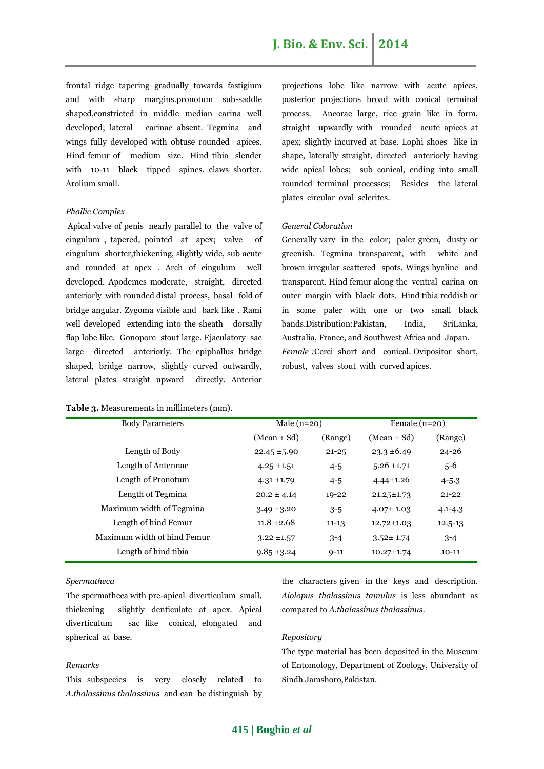frontal ridge tapering gradually towards fastigium and with sharp margins.pronotum sub-saddle shaped,constricted in middle median carina well developed; lateral carinae absent. Tegmina and wings fully developed with obtuse rounded apices. Hind femur of medium size. Hind tibia slender with 10-11 black tipped spines. claws shorter. Arolium small.

#### *Phallic Complex*

Apical valve of penis nearly parallel to the valve of cingulum , tapered, pointed at apex; valve of cingulum shorter,thickening, slightly wide, sub acute and rounded at apex . Arch of cingulum well developed. Apodemes moderate, straight, directed anteriorly with rounded distal process, basal fold of bridge angular. Zygoma visible and bark like . Rami well developed extending into the sheath dorsally flap lobe like. Gonopore stout large. Ejaculatory sac large directed anteriorly. The epiphallus bridge shaped, bridge narrow, slightly curved outwardly, lateral plates straight upward directly. Anterior

#### **Table 3.** Measurements in millimeters (mm).

projections lobe like narrow with acute apices, posterior projections broad with conical terminal process. Ancorae large, rice grain like in form, straight upwardly with rounded acute apices at apex; slightly incurved at base. Lophi shoes like in shape, laterally straight, directed anteriorly having wide apical lobes; sub conical, ending into small rounded terminal processes; Besides the lateral plates circular oval sclerites.

#### *General Coloration*

Generally vary in the color; paler green, dusty or greenish. Tegmina transparent, with white and brown irregular scattered spots. Wings hyaline and transparent. Hind femur along the ventral carina on outer margin with black dots. Hind tibia reddish or in some paler with one or two small black bands.Distribution:Pakistan, India, SriLanka, Australia, France, and Southwest Africa and Japan. *Female :*Cerci short and conical. Ovipositor short, robust, valves stout with curved apices.

| <b>Body Parameters</b>      | Male $(n=20)$    |           | Female $(n=20)$  |             |
|-----------------------------|------------------|-----------|------------------|-------------|
|                             | $(Mean \pm Sd)$  | (Range)   | $(Mean \pm Sd)$  | (Range)     |
| Length of Body              | $22.45 \pm 5.90$ | $21 - 25$ | $23.3 \pm 6.49$  | $24 - 26$   |
| Length of Antennae          | $4.25 \pm 1.51$  | $4 - 5$   | $5.26 \pm 1.71$  | $5-6$       |
| Length of Pronotum          | $4.31 \pm 1.79$  | $4 - 5$   | $4.44 \pm 1.26$  | $4 - 5.3$   |
| Length of Tegmina           | $20.2 \pm 4.14$  | $19 - 22$ | $21.25 \pm 1.73$ | $21 - 22$   |
| Maximum width of Tegmina    | $3.49 \pm 3.20$  | $3 - 5$   | $4.07 \pm 1.03$  | $4.1 - 4.3$ |
| Length of hind Femur        | $11.8 \pm 2.68$  | $11 - 13$ | $12.72 \pm 1.03$ | $12.5 - 13$ |
| Maximum width of hind Femur | $3.22 \pm 1.57$  | $3 - 4$   | $3.52 \pm 1.74$  | $3 - 4$     |
| Length of hind tibia        | $9.85 \pm 3.24$  | $9 - 11$  | $10.27 \pm 1.74$ | $10-11$     |

#### *Spermatheca*

The spermatheca with pre-apical diverticulum small, thickening slightly denticulate at apex. Apical diverticulum sac like conical, elongated and spherical at base.

#### *Remarks*

This subspecies is very closely related to *A.thalassinus thalassinus* and can be distinguish by the characters given in the keys and description. *Aiolopus thalassinus tamulus* is less abundant as compared to *A.thalassinus thalassinus*.

#### *Repository*

The type material has been deposited in the Museum of Entomology, Department of Zoology, University of Sindh Jamshoro,Pakistan.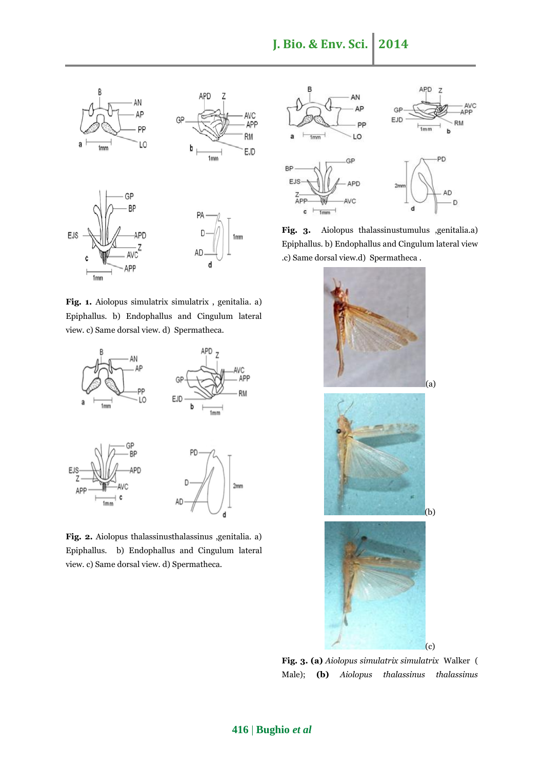

**Fig. 1.** Aiolopus simulatrix simulatrix , genitalia. a) Epiphallus. b) Endophallus and Cingulum lateral view. c) Same dorsal view. d) Spermatheca.



**Fig. 2.** Aiolopus thalassinusthalassinus ,genitalia. a) Epiphallus. b) Endophallus and Cingulum lateral view. c) Same dorsal view. d) Spermatheca.



**Fig. 3.** Aiolopus thalassinustumulus ,genitalia.a) Epiphallus. b) Endophallus and Cingulum lateral view .c) Same dorsal view.d) Spermatheca .



**Fig. 3. (a)** *Aiolopus simulatrix simulatrix* Walker ( Male); **(b)** *Aiolopus thalassinus thalassinus*